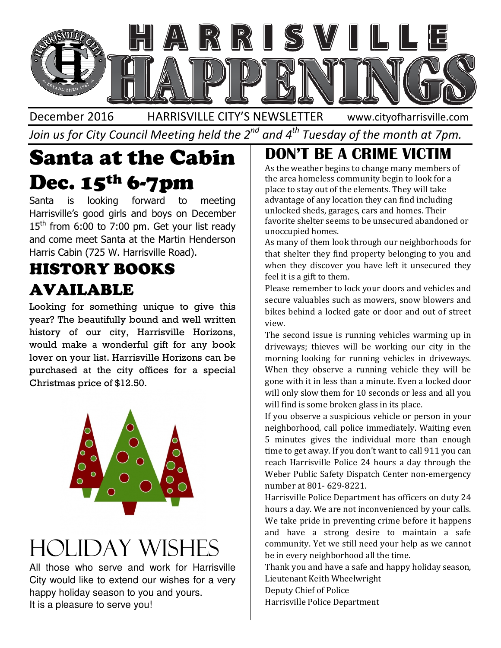

December 2016 HARRISVILLE CITY'S NEWSLETTER Join us for City Council Meeting held the 2 $^{\mathit{nd}}$  and 4 $^{\mathit{th}}$  Tuesday of the month at 7pm. www.cityofharrisville.com

## Santa at the Cabin Santa at Dec. 15<sup>th</sup> 6-7pm

Santa is looking forward to meeting Harrisville's good girls and boys on December  $15<sup>th</sup>$  from 6:00 to 7:00 pm. Get your list ready and come meet Santa at the Martin Henderson Harris Cabin (725 W. Harrisville Road) a is looking forward to<br>isville's good girls and boys on D<br>from 6:00 to 7:00 pm. Get your I<br>come meet Santa at the Martin He<br>is Cabin (725 W. Harrisville Road).

#### HISTORY BOOKS AVAILABLE

Looking for something unique to give this year? The beautifully bound and well written history of our city, Harrisville Horizons, would make a wonderful gift for any book lover on your list. Harrisville Horizons can be purchased at the city offices for a special Christmas price of \$12.50. g for something unique to give this<br>The beautifully bound and well written<br>of our city, Harrisville Horizons,<br>make a wonderful gift for any book<br>n your list. Harrisville Horizons can be



# Holiday Wishes

All those who serve and work for Harrisville City would like to extend our wishes for a very happy holiday season to you and yours. It is a pleasure to serve you!

#### **DON'T BE A CRIME VICTIM**

As the weather begins to change many members of the area homeless community begin to look for a place to stay out of the elements. They will take advantage of any location they can find including unlocked sheds, garages, cars and homes. Their favorite shelter seems to be unsecured abandoned or unoccupied homes. favorite shelter seems to be unsecured abandoned or<br>unoccupied homes.<br>As many of them look through our neighborhoods for ns to change many members ommunity begin to look for a<br>the elements. They will take<br>cation they can find including

that shelter they find property belonging to you and when they discover you have left it unsecured they feel it is a gift to them.

Please remember to lock your doors and vehicles and Please remember to lock your doors and vehicles and<br>secure valuables such as mowers, snow blowers and bikes behind a locked gate or door and out of street view.

**Example to the serve that the Cabination** of the example manned with the season because the season because of any other distance to strong in the season of the season of the season of the season of the season of the seas The second issue is running vehicles warming up in driveways; thieves will be working our city in the morning looking for running vehicles in driveways. When they observe a running vehicle they will be gone with it in less than a minute. Even a locked door will only slow them for 10 seconds or less and all you will find is some broken glass in its place. place.

If you observe a suspicious vehicle or person in your neighborhood, call police immediately. Waiting even 5 minutes gives the individual more than enough time to get away. If you don't want to call 911 you can reach Harrisville Police 24 hours a day through the reach Harrisville Police 24 hours a day through the<br>Weber Public Safety Dispatch Center non-emergency number at 801- 629-8221.

Harrisville Police Department has officers on duty 24 24 hours a day. We are not inconvenienced by your calls. We take pride in preventing crime before it happens We take pride in preventing crime before it happens<br>and have a strong desire to maintain a safe community. Yet we still need your help as we cannot be in every neighborhood all the time.

Thank you and have a safe and happy holiday season, Lieutenant Keith Wheelwright be in every neighborhood all the time.<br>Thank you and have a safe and happy holiday<br>Lieutenant Keith Wheelwright

Deputy Chief of Police

Harrisville Police Department